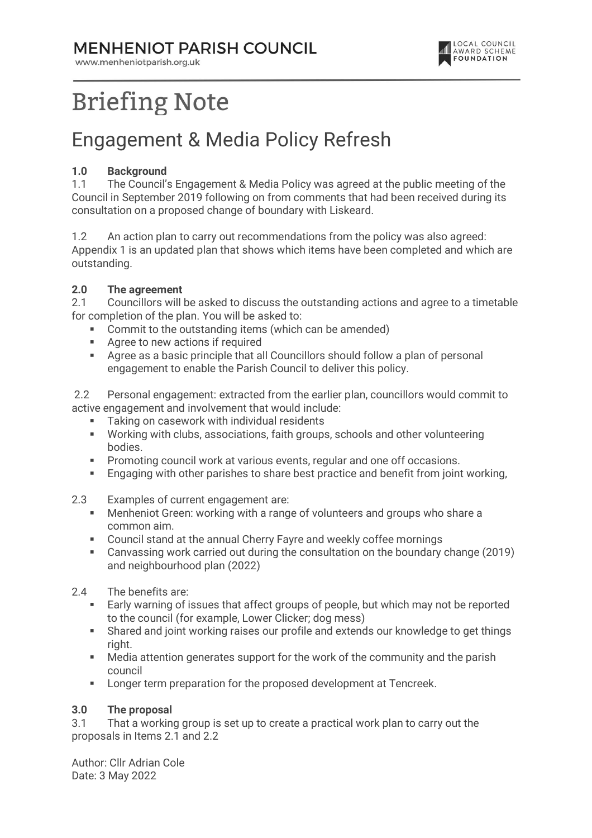### **MENHENIOT PARISH COUNCIL**

www.menheniotparish.org.uk



# **Briefing Note**

## Engagement & Media Policy Refresh

#### 1.0 Background

1.1 The Council's Engagement & Media Policy was agreed at the public meeting of the Council in September 2019 following on from comments that had been received during its consultation on a proposed change of boundary with Liskeard.

1.2 An action plan to carry out recommendations from the policy was also agreed: Appendix 1 is an updated plan that shows which items have been completed and which are outstanding.

#### 2.0 The agreement

2.1 Councillors will be asked to discuss the outstanding actions and agree to a timetable for completion of the plan. You will be asked to:

- Commit to the outstanding items (which can be amended)
- **Agree to new actions if required**
- Agree as a basic principle that all Councillors should follow a plan of personal engagement to enable the Parish Council to deliver this policy.

 2.2 Personal engagement: extracted from the earlier plan, councillors would commit to active engagement and involvement that would include:

- **Taking on casework with individual residents**
- Working with clubs, associations, faith groups, schools and other volunteering bodies.
- **Promoting council work at various events, regular and one off occasions.**
- **Engaging with other parishes to share best practice and benefit from joint working.**
- 2.3 Examples of current engagement are:
	- Menheniot Green: working with a range of volunteers and groups who share a common aim.
	- Council stand at the annual Cherry Fayre and weekly coffee mornings<br>Canvassing work carried out during the consultation on the boundary
	- Canvassing work carried out during the consultation on the boundary change (2019) and neighbourhood plan (2022)
- 2.4 The benefits are:
	- Early warning of issues that affect groups of people, but which may not be reported to the council (for example, Lower Clicker; dog mess)
	- Shared and joint working raises our profile and extends our knowledge to get things right.
	- Media attention generates support for the work of the community and the parish council
	- **EXECT:** Longer term preparation for the proposed development at Tencreek.

#### 3.0 The proposal

3.1 That a working group is set up to create a practical work plan to carry out the proposals in Items 2.1 and 2.2

Author: Cllr Adrian Cole Date: 3 May 2022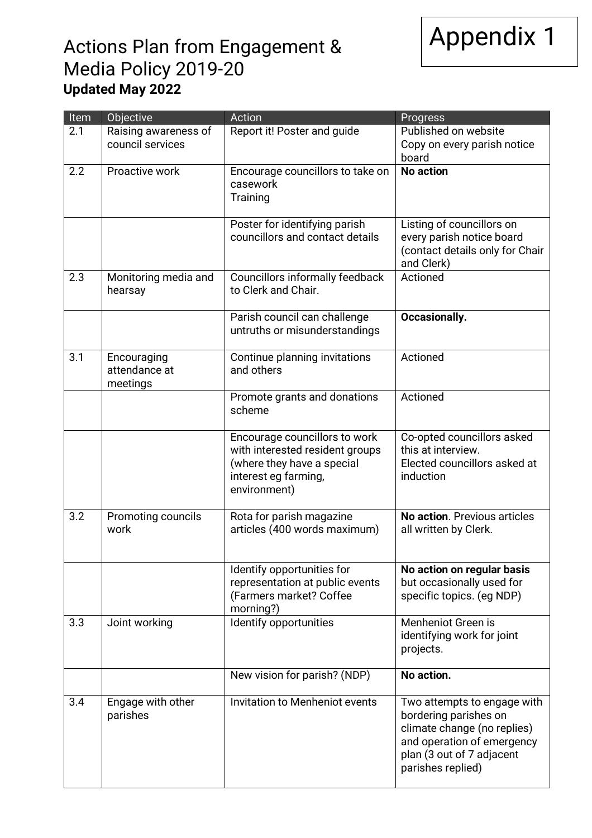

## Actions Plan from Engagement & Media Policy 2019-20 Updated May 2022

| Item | Objective                                | Action                                                                                                                                 | Progress                                                                                                                                                            |
|------|------------------------------------------|----------------------------------------------------------------------------------------------------------------------------------------|---------------------------------------------------------------------------------------------------------------------------------------------------------------------|
| 2.1  | Raising awareness of<br>council services | Report it! Poster and guide                                                                                                            | Published on website<br>Copy on every parish notice<br>board                                                                                                        |
| 2.2  | Proactive work                           | Encourage councillors to take on<br>casework<br>Training                                                                               | <b>No action</b>                                                                                                                                                    |
|      |                                          | Poster for identifying parish<br>councillors and contact details                                                                       | Listing of councillors on<br>every parish notice board<br>(contact details only for Chair<br>and Clerk)                                                             |
| 2.3  | Monitoring media and<br>hearsay          | Councillors informally feedback<br>to Clerk and Chair.                                                                                 | Actioned                                                                                                                                                            |
|      |                                          | Parish council can challenge<br>untruths or misunderstandings                                                                          | Occasionally.                                                                                                                                                       |
| 3.1  | Encouraging<br>attendance at<br>meetings | Continue planning invitations<br>and others                                                                                            | Actioned                                                                                                                                                            |
|      |                                          | Promote grants and donations<br>scheme                                                                                                 | Actioned                                                                                                                                                            |
|      |                                          | Encourage councillors to work<br>with interested resident groups<br>(where they have a special<br>interest eg farming,<br>environment) | Co-opted councillors asked<br>this at interview.<br>Elected councillors asked at<br>induction                                                                       |
| 3.2  | Promoting councils<br>work               | Rota for parish magazine<br>articles (400 words maximum)                                                                               | No action. Previous articles<br>all written by Clerk.                                                                                                               |
|      |                                          | Identify opportunities for<br>representation at public events<br>(Farmers market? Coffee<br>morning?)                                  | No action on regular basis<br>but occasionally used for<br>specific topics. (eg NDP)                                                                                |
| 3.3  | Joint working                            | Identify opportunities                                                                                                                 | Menheniot Green is<br>identifying work for joint<br>projects.                                                                                                       |
|      |                                          | New vision for parish? (NDP)                                                                                                           | No action.                                                                                                                                                          |
| 3.4  | Engage with other<br>parishes            | Invitation to Menheniot events                                                                                                         | Two attempts to engage with<br>bordering parishes on<br>climate change (no replies)<br>and operation of emergency<br>plan (3 out of 7 adjacent<br>parishes replied) |